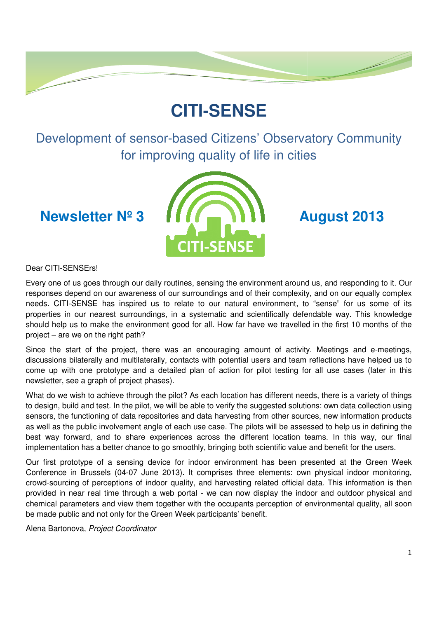# **CITI-SENSE**

Development of sensor-based Citizens' Observatory Community for improving quality of life in cities

**Newsletter Nº 3** 



Dear CITI-SENSErs!

Every one of us goes through our daily routines, sensing the environment around us, and responding to it. Our responses depend on our awareness of our surroundings and of their complexity, and on our equally complex needs. CITI-SENSE has inspired us to relate to our natural environment, to "sense" for us some of its properties in our nearest surroundings, in a systematic and scientifically defendable way. This knowledge Every one of us goes through our daily routines, sensing the environment around us, and responding to it. Our responses depend on our awareness of our surroundings and of their complexity, and on our equally complex needs. project – are we on the right path? s and of their complexity, and on our equally complex<br>natural environment, to "sense" for us some of its<br>c and scientifically defendable way. This knowledge<br>ow far have we travelled in the first 10 months of the<br>ging amoun

Since the start of the project, there was an encouraging amount of activity. Meetings and e-meetings, discussions bilaterally and multilaterally, contacts with potential users and team reflections have helped us to come up with one prototype and a detailed plan of action for pilot testing for all use cases (later in this newsletter, see a graph of project phases).

newsletter, see a graph of project phases).<br>What do we wish to achieve through the pilot? As each location has different needs, there is a variety of things to design, build and test. In the pilot, we will be able to verify the suggested solutions: own data collection using sensors, the functioning of data repositories and data harvesting from other sources, new information products as well as the public involvement angle of each use case. The pilots will be assessed to help us in defining the best way forward, and to share experiences across the different location teams. In this way, our final implementation has a better chance to go smoothly, bringing both scientific value and benefit for the users. potential users and team reflections have helped us to<br>action for pilot testing for all use cases (later in this<br>location has different needs, there is a variety of things<br>erify the suggested solutions: own data collection

implementation has a better chance to go smoothly, bringing both scientific value and benefit for the users.<br>Our first prototype of a sensing device for indoor environment has been presented at the Green Week Conference in Brussels (04-07 June 2013). It comprises three elements: own physical indoor monitoring, crowd-sourcing of perceptions of indoor quality, and harvesting related official data. This information is then crowd-sourcing of perceptions of indoor quality, and harvesting related official data. This information<br>provided in near real time through a web portal - we can now display the indoor and outdoor phys chemical parameters and view them together with the occupants perception of environmental quality, all soon be made public and not only for the Green Week participants participants' benefit.

Alena Bartonova, Project Coordinator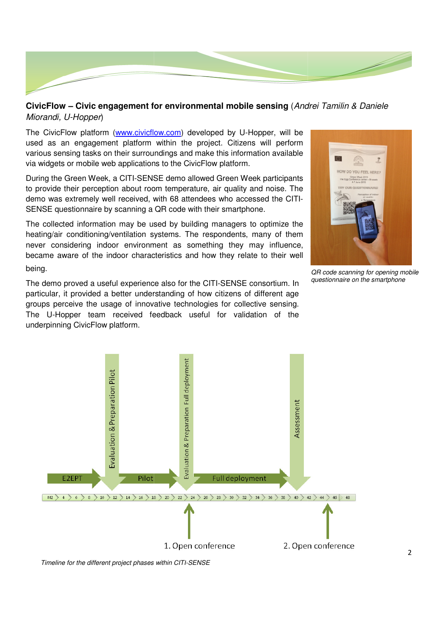

# **CivicFlow – Civic engagement for environmental mobile sensing** (Andrei Tamilin & Daniele Miorandi, U-Hopper)

The CivicFlow platform (www.civicflow.com) developed by U-Hopper, will be used as an engagement platform within the p project. Citizens will perform various sensing tasks on their surroundings and make this information available via widgets or mobile web applications to the CivicFlow platform.

During the Green Week, a CITI-SENSE demo allowed Green Week participants to provide their perception about room temperature, air quality and noise. The to provide their perception about room temperature, air quality and noise. The<br>demo was extremely well received, with 68 attendees who accessed the CITI-SENSE questionnaire by scanning a QR code with their smartphone.

The collected information may be used by building managers to optimize the heating/air conditioning/ventilation systems. The respondents, many of them never considering indoor environment as something they may influence, became aware of the indoor characteristics and how they relate to their well being. became aware of the indoor characteristics and how they relate to their wel<br>being.<br>The demo proved a useful experience also for the CITI-SENSE consortium. In

particular, it provided a better understanding of how citizens of different age groups perceive the usage of innovative technologies for collective sensing. groups perceive the usage of innovative technologies for collective sensing.<br>The U-Hopper team received feedback useful for validation of the underpinning CivicFlow platform.



QR code scanning for opening mobile questionnaire on the smartphone



Timeline for the different project phases within CITI CITI-SENSE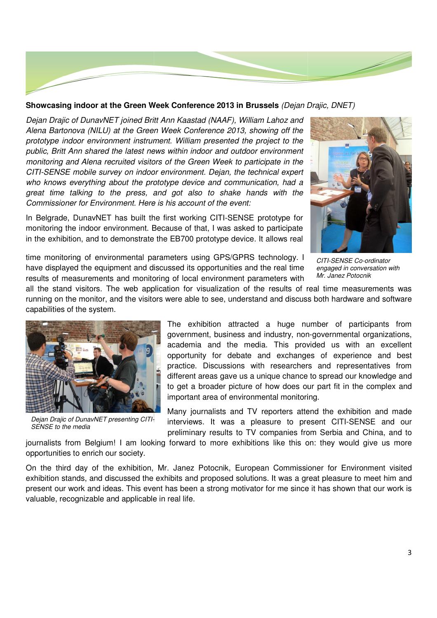

### Showcasing indoor at the Green Week Conference 2013 in Brussels (Dejan Drajic, DNET)

Dejan Drajic of DunavNET joined Britt Ann Kaastad (NAAF), William Lahoz and Alena Bartonova (NILU) at the Green Week Conference 2013, showing off the Alena Bartonova (NILU) at the Green Week Conference 2013, showing off the<br>prototype indoor environment instrument. William presented the project to the public, Britt Ann shared the latest news within indoor and outdoor environment monitoring and Alena recruited visitors of the Green Week to participate in the CITI-SENSE mobile survey on indoor environment. Dejan, the technical expert who knows everything about the prototype device and communication, had a great time talking to the press, and got also to shake hands with the great time talking to the press, and got also to shake h<br>Commissioner·for·Environment. Here is his account of the event:

In Belgrade, DunavNET has built the first working CITI-SENSE prototype for monitoring the indoor environment. Because of that, I was asked to participate in the exhibition, and to demonstrate the EB700 prototype device. It allows real



time monitoring of environmental parameters using GPS/GPRS technology. I have displayed the equipment and discussed its opportunities and the real time have displayed the equipment and discussed its opportunities and the real time<br>results of measurements and monitoring of local environment parameters with

CITI-SENSE Co-ordinator engaged in conversation with Mr. Janez Potocnik

all the stand visitors. The web application for visualization of the results of real time measurements was running on the monitor, and the visitors were able to see, understand and discuss both hardware and software capabilities of the system. tion for visualization of the results of real time measurements was<br>were able to see, understand and discuss both hardware and software<br>The exhibition attracted a huge number of participants from<br>government, business and i



Dejan Drajic of DunavNET presenting CITI-SENSE to the media

government, business and industry, non academia and the media. This provided us with an excellent opportunity for debate and exchanges of experience and best practice. Discussions with researchers and representatives from different areas gave us a unique chance to spread our knowledge and to get a broader picture of how does our part fit in the complex and important area of environmental monitoring. debate and exchanges of experience and best<br>sions with researchers and representatives from<br>ave us a unique chance to spread our knowledge and

Many journalists and TV reporters attend the exhibition and made Many journalists and TV reporters attend the exhibition and made<br>interviews. It was a pleasure to present CITI-SENSE and our preliminary results to TV companies from Serbia and China, and to

journalists from Belgium! I am looking forward to more exhibitions like this on: they would give us more opportunities to enrich our society.

On the third day of the exhibition, Mr. Janez Potocnik, European Commissioner for Environment visited exhibition stands, and discussed the exhibits and proposed solutions. It was a great pleasure to meet him and preliminary results to TV companies from Serbia and China, and to<br>journalists from Belgium! I am looking forward to more exhibitions like this on: they would give us more<br>opportunities to enrich our society.<br>On the third d valuable, recognizable and applicable in real life.